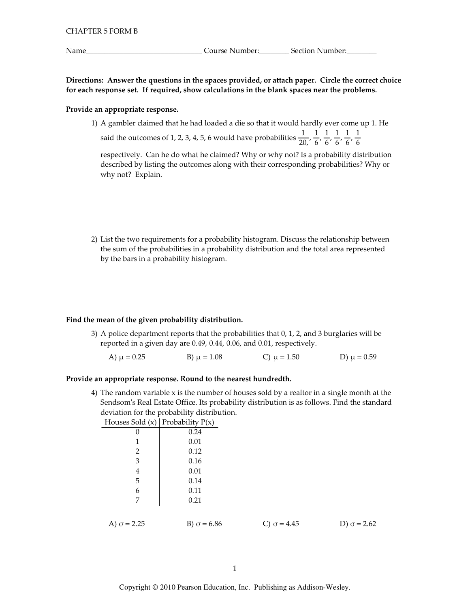Directions: Answer the questions in the spaces provided, or attach paper. Circle the correct choice for each response set. If required, show calculations in the blank spaces near the problems.

#### Provide an appropriate response.

1) A gambler claimed that he had loaded a die so that it would hardly ever come up 1. He

said the outcomes of 1, 2, 3, 4, 5, 6 would have probabilities  $\frac{1}{20}$ ,  $\frac{1}{6}$ ,  $\frac{1}{6}$ ,  $\frac{1}{6}$ ,  $\frac{1}{6}$ ,  $\frac{1}{6}$ 

respectively. Can he do what he claimed? Why or why not? Is a probability distribution described by listing the outcomes along with their corresponding probabilities? Why or why not? Explain.

2) List the two requirements for a probability histogram. Discuss the relationship between the sum of the probabilities in a probability distribution and the total area represented by the bars in a probability histogram.

# Find the mean of the given probability distribution.

3) A police department reports that the probabilities that 0, 1, 2, and 3 burglaries will be reported in a given day are 0.49, 0.44, 0.06, and 0.01, respectively.

A) 
$$
\mu = 0.25
$$
 \t\t B)  $\mu = 1.08$  \t\t C)  $\mu = 1.50$  \t\t D)  $\mu = 0.59$ 

# Provide an appropriate response. Round to the nearest hundredth.

4) The random variable x is the number of houses sold by a realtor in a single month at the Sendsom's Real Estate Office. Its probability distribution is as follows. Find the standard deviation for the probability distribution.

| Houses Sold (x) Probability $P(x)$ |                    |
|------------------------------------|--------------------|
| 0                                  | 0.24               |
| 1                                  | 0.01               |
| 2                                  | 0.12               |
| 3                                  | 0.16               |
| 4                                  | 0.01               |
| 5                                  | 0.14               |
| 6                                  | 0.11               |
| 7                                  | 0.21               |
|                                    |                    |
| A) $\sigma$ = 2.25                 | B) $\sigma$ = 6.86 |

C)  $\sigma$  = 4.45

D)  $\sigma$  = 2.62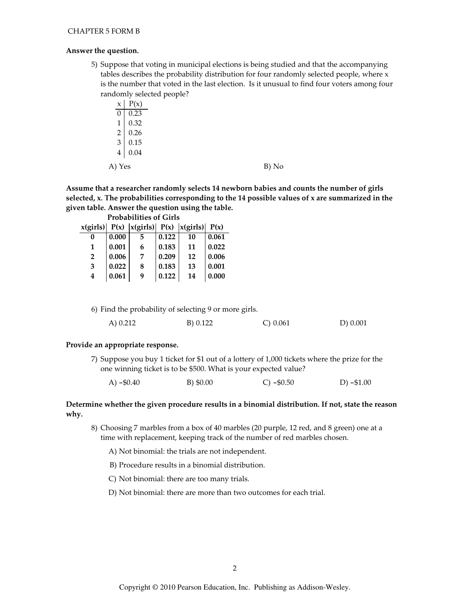## Answer the question.

5) Suppose that voting in municipal elections is being studied and that the accompanying tables describes the probability distribution for four randomly selected people, where x is the number that voted in the last election. Is it unusual to find four voters among four randomly selected people?

|                |      | $\overline{\phantom{a}}$ |  |       |
|----------------|------|--------------------------|--|-------|
| $\mathsf X$    | P(x) |                          |  |       |
| 0              | 0.23 |                          |  |       |
| $\mathbf{1}$   | 0.32 |                          |  |       |
| $\sqrt{2}$     | 0.26 |                          |  |       |
| $\overline{3}$ | 0.15 |                          |  |       |
| $\overline{4}$ | 0.04 |                          |  |       |
| A) Yes         |      |                          |  | B) No |

Assume that a researcher randomly selects 14 newborn babies and counts the number of girls selected, x. The probabilities corresponding to the 14 possible values of x are summarized in the given table. Answer the question using the table.  $-1.111111$  $\sim$ 

| Prodabilities of Girls |       |   |       |                                                         |       |
|------------------------|-------|---|-------|---------------------------------------------------------|-------|
|                        |       |   |       | $x(girls)$ $P(x)$ $ x(girls)$ $P(x)$ $ x(girls)$ $P(x)$ |       |
| 0                      | 0.000 | 5 | 0.122 | 10                                                      | 0.061 |
| 1                      | 0.001 | 6 | 0.183 | 11                                                      | 0.022 |
| $\overline{2}$         | 0.006 | 7 | 0.209 | 12                                                      | 0.006 |
| 3                      | 0.022 | 8 | 0.183 | 13                                                      | 0.001 |
| 4                      | 0.061 | 9 | 0.122 | 14                                                      | 0.000 |

6) Find the probability of selecting 9 or more girls.

|  | A) 0.212 | B) 0.122 | $C$ ) 0.061 | D) 0.001 |
|--|----------|----------|-------------|----------|
|--|----------|----------|-------------|----------|

#### Provide an appropriate response.

7) Suppose you buy 1 ticket for \$1 out of a lottery of 1,000 tickets where the prize for the one winning ticket is to be \$500. What is your expected value?

| A) $-$ \$0.40 | B) \$0.00 | $C$ ) $-$ \$0.50 | D) $- $1.00$ |
|---------------|-----------|------------------|--------------|
|               |           |                  |              |

# Determine whether the given procedure results in a binomial distribution. If not, state the reason why.

8) Choosing 7 marbles from a box of 40 marbles (20 purple, 12 red, and 8 green) one at a time with replacement, keeping track of the number of red marbles chosen.

A) Not binomial: the trials are not independent.

B) Procedure results in a binomial distribution.

C) Not binomial: there are too many trials.

D) Not binomial: there are more than two outcomes for each trial.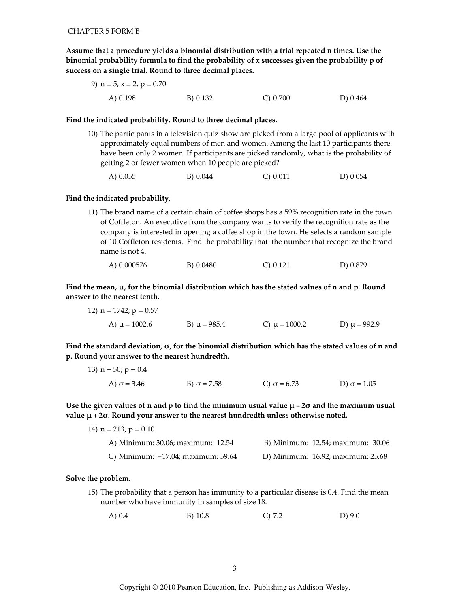Assume that a procedure yields a binomial distribution with a trial repeated n times. Use the binomial probability formula to find the probability of x successes given the probability p of success on a single trial. Round to three decimal places.

#### Find the indicated probability. Round to three decimal places.

10) The participants in a television quiz show are picked from a large pool of applicants with approximately equal numbers of men and women. Among the last 10 participants there have been only 2 women. If participants are picked randomly, what is the probability of getting 2 or fewer women when 10 people are picked?

```
A) 0.055
          B) 0.044
                                 C) 0.011D) 0.054
```
#### Find the indicated probability.

11) The brand name of a certain chain of coffee shops has a 59% recognition rate in the town of Coffleton. An executive from the company wants to verify the recognition rate as the company is interested in opening a coffee shop in the town. He selects a random sample of 10 Coffleton residents. Find the probability that the number that recognize the brand name is not 4.

Find the mean,  $\mu$ , for the binomial distribution which has the stated values of n and p. Round answer to the nearest tenth.

12) n = 1742; p = 0.57  
A) 
$$
\mu
$$
 = 1002.6  
B)  $\mu$  = 985.4  
C)  $\mu$  = 1000.2  
D)  $\mu$  = 992.9

Find the standard deviation,  $\sigma$ , for the binomial distribution which has the stated values of n and p. Round your answer to the nearest hundredth.

13) 
$$
n = 50
$$
;  $p = 0.4$   
\nA)  $\sigma = 3.46$   
\nB)  $\sigma = 7.58$   
\nC)  $\sigma = 6.73$   
\nD)  $\sigma = 1.05$ 

Use the given values of n and p to find the minimum usual value  $\mu$  – 20 and the maximum usual value  $\mu$  + 2 $\sigma$ . Round your answer to the nearest hundredth unless otherwise noted.

| 14) $n = 213$ , $p = 0.10$            |                                   |
|---------------------------------------|-----------------------------------|
| A) Minimum: 30.06; maximum: 12.54     | B) Minimum: 12.54; maximum: 30.06 |
| C) Minimum: $-17.04$ ; maximum: 59.64 | D) Minimum: 16.92; maximum: 25.68 |

#### Solve the problem.

- 15) The probability that a person has immunity to a particular disease is 0.4. Find the mean number who have immunity in samples of size 18.
	- $A)$  0.4  $B) 10.8$  $C) 7.2$  $D)$  9.0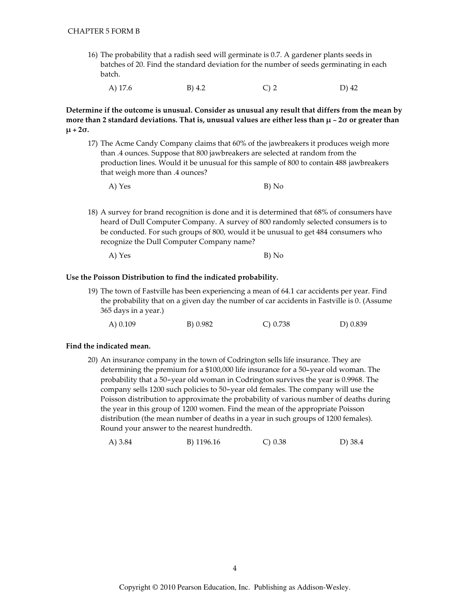- 16) The probability that a radish seed will germinate is 0.7. A gardener plants seeds in batches of 20. Find the standard deviation for the number of seeds germinating in each batch.
	- A) 17.6  $B)$  4.2  $C<sub>2</sub>$ D) 42

Determine if the outcome is unusual. Consider as unusual any result that differs from the mean by more than 2 standard deviations. That is, unusual values are either less than  $\mu$  – 20 or greater than  $\mu$  + 2 $\sigma$ .

- 17) The Acme Candy Company claims that 60% of the jawbreakers it produces weigh more than .4 ounces. Suppose that 800 jawbreakers are selected at random from the production lines. Would it be unusual for this sample of 800 to contain 488 jawbreakers that weigh more than .4 ounces?
	- A) Yes B) No
- 18) A survey for brand recognition is done and it is determined that 68% of consumers have heard of Dull Computer Company. A survey of 800 randomly selected consumers is to be conducted. For such groups of 800, would it be unusual to get 484 consumers who recognize the Dull Computer Company name?
	- A) Yes B) No

# Use the Poisson Distribution to find the indicated probability.

19) The town of Fastville has been experiencing a mean of 64.1 car accidents per year. Find the probability that on a given day the number of car accidents in Fastville is 0. (Assume 365 days in a year.)

| B) 0.982<br>$(A)$ 0.109 | $C$ ) 0.738 | D) 0.839 |
|-------------------------|-------------|----------|
|-------------------------|-------------|----------|

# Find the indicated mean.

20) An insurance company in the town of Codrington sells life insurance. They are determining the premium for a \$100,000 life insurance for a 50-year old woman. The probability that a 50-year old woman in Codrington survives the year is 0.9968. The company sells 1200 such policies to 50-year old females. The company will use the Poisson distribution to approximate the probability of various number of deaths during the year in this group of 1200 women. Find the mean of the appropriate Poisson distribution (the mean number of deaths in a year in such groups of 1200 females). Round your answer to the nearest hundredth.

A) 3.84  $C) 0.38$ D) 38.4 B) 1196.16